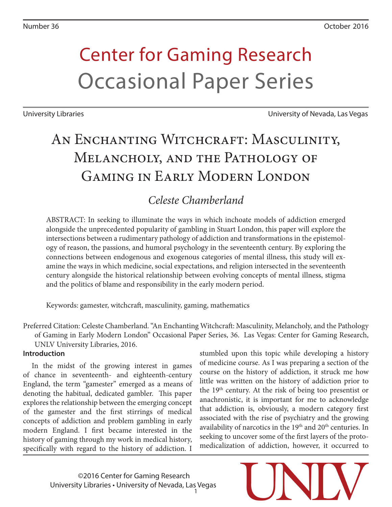# Center for Gaming Research Occasional Paper Series

University Libraries University of Nevada, Las Vegas

# AN ENCHANTING WITCHCRAFT: MASCULINITY, MELANCHOLY, AND THE PATHOLOGY OF GAMING IN EARLY MODERN LONDON

### *Celeste Chamberland*

ABSTRACT: In seeking to illuminate the ways in which inchoate models of addiction emerged alongside the unprecedented popularity of gambling in Stuart London, this paper will explore the intersections between a rudimentary pathology of addiction and transformations in the epistemology of reason, the passions, and humoral psychology in the seventeenth century. By exploring the connections between endogenous and exogenous categories of mental illness, this study will examine the ways in which medicine, social expectations, and religion intersected in the seventeenth century alongside the historical relationship between evolving concepts of mental illness, stigma and the politics of blame and responsibility in the early modern period.

Keywords: gamester, witchcraft, masculinity, gaming, mathematics

Preferred Citation: Celeste Chamberland. "An Enchanting Witchcraft: Masculinity, Melancholy, and the Pathology of Gaming in Early Modern London" Occasional Paper Series, 36. Las Vegas: Center for Gaming Research, UNLV University Libraries, 2016.

#### **Introduction**

In the midst of the growing interest in games of chance in seventeenth- and eighteenth-century England, the term "gamester" emerged as a means of denoting the habitual, dedicated gambler. This paper explores the relationship between the emerging concept of the gamester and the first stirrings of medical concepts of addiction and problem gambling in early modern England. I first became interested in the history of gaming through my work in medical history, specifically with regard to the history of addiction. I

stumbled upon this topic while developing a history of medicine course. As I was preparing a section of the course on the history of addiction, it struck me how little was written on the history of addiction prior to the 19th century. At the risk of being too presentist or anachronistic, it is important for me to acknowledge that addiction is, obviously, a modern category first associated with the rise of psychiatry and the growing availability of narcotics in the  $19<sup>th</sup>$  and  $20<sup>th</sup>$  centuries. In seeking to uncover some of the first layers of the protomedicalization of addiction, however, it occurred to

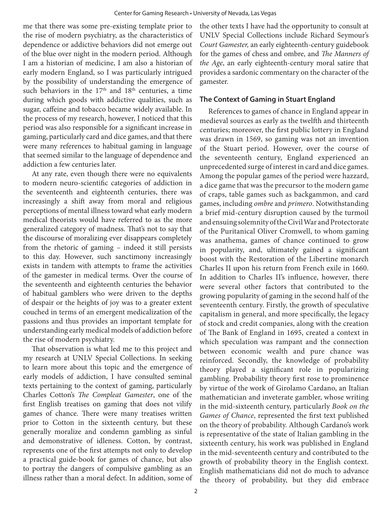me that there was some pre-existing template prior to the rise of modern psychiatry, as the characteristics of dependence or addictive behaviors did not emerge out of the blue over night in the modern period. Although I am a historian of medicine, I am also a historian of early modern England, so I was particularly intrigued by the possibility of understanding the emergence of such behaviors in the  $17<sup>th</sup>$  and  $18<sup>th</sup>$  centuries, a time during which goods with addictive qualities, such as sugar, caffeine and tobacco became widely available. In the process of my research, however, I noticed that this period was also responsible for a significant increase in gaming, particularly card and dice games, and that there were many references to habitual gaming in language that seemed similar to the language of dependence and addiction a few centuries later.

At any rate, even though there were no equivalents to modern neuro-scientific categories of addiction in the seventeenth and eighteenth centuries, there was increasingly a shift away from moral and religious perceptions of mental illness toward what early modern medical theorists would have referred to as the more generalized category of madness. That's not to say that the discourse of moralizing ever disappears completely from the rhetoric of gaming – indeed it still persists to this day. However, such sanctimony increasingly exists in tandem with attempts to frame the activities of the gamester in medical terms. Over the course of the seventeenth and eighteenth centuries the behavior of habitual gamblers who were driven to the depths of despair or the heights of joy was to a greater extent couched in terms of an emergent medicalization of the passions and thus provides an important template for understanding early medical models of addiction before the rise of modern psychiatry.

That observation is what led me to this project and my research at UNLV Special Collections. In seeking to learn more about this topic and the emergence of early models of addiction, I have consulted seminal texts pertaining to the context of gaming, particularly Charles Cotton's *The Compleat Gamester*, one of the first English treatises on gaming that does not vilify games of chance. There were many treatises written prior to Cotton in the sixteenth century, but these generally moralize and condemn gambling as sinful and demonstrative of idleness. Cotton, by contrast, represents one of the first attempts not only to develop a practical guide-book for games of chance, but also to portray the dangers of compulsive gambling as an illness rather than a moral defect. In addition, some of the other texts I have had the opportunity to consult at UNLV Special Collections include Richard Seymour's *Court Gamester,* an early eighteenth-century guidebook for the games of chess and ombre, and *The Manners of the Age*, an early eighteenth-century moral satire that provides a sardonic commentary on the character of the gamester.

#### **The Context of Gaming in Stuart England**

References to games of chance in England appear in medieval sources as early as the twelfth and thirteenth centuries; moreover, the first public lottery in England was drawn in 1569, so gaming was not an invention of the Stuart period. However, over the course of the seventeenth century, England experienced an unprecedented surge of interest in card and dice games. Among the popular games of the period were hazzard, a dice game that was the precursor to the modern game of craps, table games such as backgammon, and card games, including *ombre* and *primero*. Notwithstanding a brief mid-century disruption caused by the turmoil and ensuing solemnity of the Civil War and Protectorate of the Puritanical Oliver Cromwell, to whom gaming was anathema, games of chance continued to grow in popularity, and, ultimately gained a significant boost with the Restoration of the Libertine monarch Charles II upon his return from French exile in 1660. In addition to Charles II's influence, however, there were several other factors that contributed to the growing popularity of gaming in the second half of the seventeenth century. Firstly, the growth of speculative capitalism in general, and more specifically, the legacy of stock and credit companies, along with the creation of The Bank of England in 1695, created a context in which speculation was rampant and the connection between economic wealth and pure chance was reinforced. Secondly, the knowledge of probability theory played a significant role in popularizing gambling. Probability theory first rose to prominence by virtue of the work of Girolamo Cardano, an Italian mathematician and inveterate gambler, whose writing in the mid-sixteenth century, particularly *Book on the Games of Chance*, represented the first text published on the theory of probability. Although Cardano's work is representative of the state of Italian gambling in the sixteenth century, his work was published in England in the mid-seventeenth century and contributed to the growth of probability theory in the English context. English mathematicians did not do much to advance the theory of probability, but they did embrace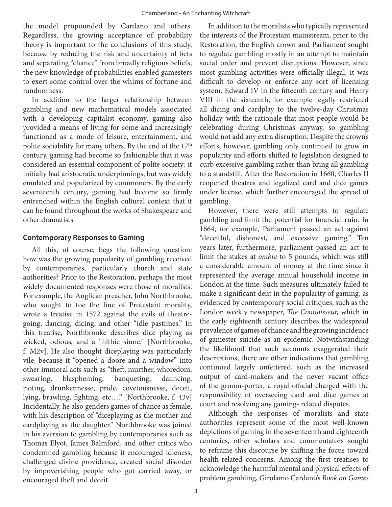the model propounded by Cardano and others. Regardless, the growing acceptance of probability theory is important to the conclusions of this study, because by reducing the risk and uncertainty of bets and separating "chance" from broadly religious beliefs, the new knowledge of probabilities enabled gamesters to exert some control over the whims of fortune and randomness.

In addition to the larger relationship between gambling and new mathematical models associated with a developing capitalist economy, gaming also provided a means of living for some and increasingly functioned as a mode of leisure, entertainment, and polite sociability for many others. By the end of the 17<sup>th</sup> century, gaming had become so fashionable that it was considered an essential component of polite society; it initially had aristocratic underpinnings, but was widely emulated and popularized by commoners. By the early seventeenth century, gaming had become so firmly entrenched within the English cultural context that it can be found throughout the works of Shakespeare and other dramatists.

#### **Contemporary Responses to Gaming**

All this, of course, begs the following question: how was the growing popularity of gambling received by contemporaries, particularly church and state authorities? Prior to the Restoration, perhaps the most widely documented responses were those of moralists. For example, the Anglican preacher, John Northbrooke, who sought to toe the line of Protestant morality, wrote a treatise in 1572 against the evils of theatregoing, dancing, dicing, and other "idle pastimes." In this treatise, Northbrooke describes dice playing as wicked, odious, and a "filthie sinne." [Northbrooke, f. M2v]. He also thought diceplaying was particularly vile, because it "opened a doore and a window" into other immoral acts such as "theft, murther, whoredom, swearing, blaspheming, banqueting, dauncing, rioting, drunkennesse, pride, covetousnesse, deceit, lying, brawling, fighting, etc…." [Northbrooke, f. 43v] Incidentally, he also genders games of chance as female, with his description of "diceplaying as the mother and cardplaying as the daughter." Northbrooke was joined in his aversion to gambling by contemporaries such as Thomas Elyot, James Balmford, and other critics who condemned gambling because it encouraged idleness, challenged divine providence, created social disorder by impoverishing people who got carried away, or encouraged theft and deceit.

In addition to the moralists who typically represented the interests of the Protestant mainstream, prior to the Restoration, the English crown and Parliament sought to regulate gambling mostly in an attempt to maintain social order and prevent disruptions. However, since most gambling activities were officially illegal, it was difficult to develop or enforce any sort of licensing system. Edward IV in the fifteenth century and Henry VIII in the sixteenth, for example legally restricted all dicing and cardplay to the twelve-day Christmas holiday, with the rationale that most people would be celebrating during Christmas anyway, so gambling would not add any extra disruption. Despite the crown's efforts, however, gambling only continued to grow in popularity and efforts shifted to legislation designed to curb excessive gambling rather than bring all gambling to a standstill. After the Restoration in 1660, Charles II reopened theatres and legalized card and dice games under license, which further encouraged the spread of gambling.

However, there were still attempts to regulate gambling and limit the potential for financial ruin. In 1664, for example, Parliament passed an act against "deceitful, dishonest, and excessive gaming." Ten years later, furthermore, parliament passed an act to limit the stakes at *ombre* to 5 pounds, which was still a considerable amount of money at the time since it represented the average annual household income in London at the time. Such measures ultimately failed to make a significant dent in the popularity of gaming, as evidenced by contemporary social critiques, such as the London weekly newspaper, *The Connoisseur,* which in the early eighteenth century describes the widespread prevalence of games of chance and the growing incidence of gamester suicide as an epidemic. Notwithstanding the likelihood that such accounts exaggerated their descriptions, there are other indications that gambling continued largely unfettered, such as the increased output of card-makers and the never vacant office of the groom-porter, a royal official charged with the responsibility of overseeing card and dice games at court and resolving any gaming- related disputes.

Although the responses of moralists and state authorities represent some of the most well-known depictions of gaming in the seventeenth and eighteenth centuries, other scholars and commentators sought to reframe this discourse by shifting the focus toward health-related concerns. Among the first treatises to acknowledge the harmful mental and physical effects of problem gambling, Girolamo Cardano's *Book on Games*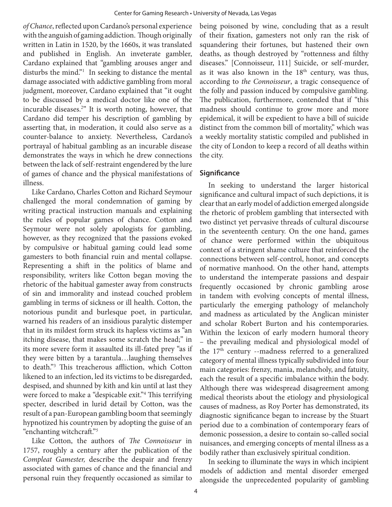*of Chance*, reflected upon Cardano's personal experience with the anguish of gaming addiction. Though originally written in Latin in 1520, by the 1660s, it was translated and published in English. An inveterate gambler, Cardano explained that "gambling arouses anger and disturbs the mind."<sup>1</sup> In seeking to distance the mental damage associated with addictive gambling from moral judgment, moreover, Cardano explained that "it ought to be discussed by a medical doctor like one of the incurable diseases.<sup>2</sup> " It is worth noting, however, that Cardano did temper his description of gambling by asserting that, in moderation, it could also serve as a counter-balance to anxiety. Nevertheless, Cardano's portrayal of habitual gambling as an incurable disease demonstrates the ways in which he drew connections between the lack of self-restraint engendered by the lure of games of chance and the physical manifestations of illness.

Like Cardano, Charles Cotton and Richard Seymour challenged the moral condemnation of gaming by writing practical instruction manuals and explaining the rules of popular games of chance. Cotton and Seymour were not solely apologists for gambling, however, as they recognized that the passions evoked by compulsive or habitual gaming could lead some gamesters to both financial ruin and mental collapse. Representing a shift in the politics of blame and responsibility, writers like Cotton began moving the rhetoric of the habitual gamester away from constructs of sin and immorality and instead couched problem gambling in terms of sickness or ill health. Cotton, the notorious pundit and burlesque poet, in particular, warned his readers of an insidious paralytic distemper that in its mildest form struck its hapless victims as "an itching disease, that makes some scratch the head;" in its more severe form it assaulted its ill-fated prey "as if they were bitten by a tarantula…laughing themselves to death."<sup>3</sup> This treacherous affliction, which Cotton likened to an infection, led its victims to be disregarded, despised, and shunned by kith and kin until at last they were forced to make a "despicable exit."<sup>4</sup> This terrifying specter, described in lurid detail by Cotton, was the result of a pan-European gambling boom that seemingly hypnotized his countrymen by adopting the guise of an "enchanting witchcraft."<sup>5</sup>

Like Cotton, the authors of *The Connoisseur* in 1757, roughly a century after the publication of the *Compleat Gamester,* describe the despair and frenzy associated with games of chance and the financial and personal ruin they frequently occasioned as similar to

being poisoned by wine, concluding that as a result of their fixation, gamesters not only ran the risk of squandering their fortunes, but hastened their own deaths, as though destroyed by "rottenness and filthy diseases." [Connoisseur, 111] Suicide, or self-murder, as it was also known in the  $18<sup>th</sup>$  century, was thus, according to *the Connoisseur*, a tragic consequence of the folly and passion induced by compulsive gambling. The publication, furthermore, contended that if "this madness should continue to grow more and more epidemical, it will be expedient to have a bill of suicide distinct from the common bill of mortality," which was a weekly mortality statistic compiled and published in the city of London to keep a record of all deaths within the city.

#### **Significance**

In seeking to understand the larger historical significance and cultural impact of such depictions, it is clear that an early model of addiction emerged alongside the rhetoric of problem gambling that intersected with two distinct yet pervasive threads of cultural discourse in the seventeenth century. On the one hand, games of chance were performed within the ubiquitous context of a stringent shame culture that reinforced the connections between self-control, honor, and concepts of normative manhood. On the other hand, attempts to understand the intemperate passions and despair frequently occasioned by chronic gambling arose in tandem with evolving concepts of mental illness, particularly the emerging pathology of melancholy and madness as articulated by the Anglican minister and scholar Robert Burton and his contemporaries. Within the lexicon of early modern humoral theory – the prevailing medical and physiological model of the  $17<sup>th</sup>$  century --madness referred to a generalized category of mental illness typically subdivided into four main categories: frenzy, mania, melancholy, and fatuity, each the result of a specific imbalance within the body. Although there was widespread disagreement among medical theorists about the etiology and physiological causes of madness, as Roy Porter has demonstrated, its diagnostic significance began to increase by the Stuart period due to a combination of contemporary fears of demonic possession, a desire to contain so-called social nuisances, and emerging concepts of mental illness as a bodily rather than exclusively spiritual condition.

In seeking to illuminate the ways in which incipient models of addiction and mental disorder emerged alongside the unprecedented popularity of gambling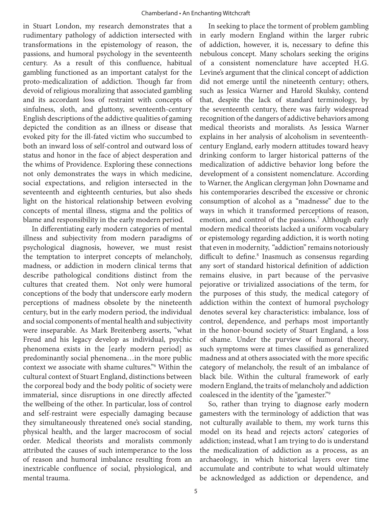in Stuart London, my research demonstrates that a rudimentary pathology of addiction intersected with transformations in the epistemology of reason, the passions, and humoral psychology in the seventeenth century. As a result of this confluence, habitual gambling functioned as an important catalyst for the proto-medicalization of addiction. Though far from devoid of religious moralizing that associated gambling and its accordant loss of restraint with concepts of sinfulness, sloth, and gluttony, seventeenth-century English descriptions of the addictive qualities of gaming depicted the condition as an illness or disease that evoked pity for the ill-fated victim who succumbed to both an inward loss of self-control and outward loss of status and honor in the face of abject desperation and the whims of Providence. Exploring these connections not only demonstrates the ways in which medicine, social expectations, and religion intersected in the seventeenth and eighteenth centuries, but also sheds light on the historical relationship between evolving concepts of mental illness, stigma and the politics of blame and responsibility in the early modern period.

In differentiating early modern categories of mental illness and subjectivity from modern paradigms of psychological diagnosis, however, we must resist the temptation to interpret concepts of melancholy, madness, or addiction in modern clinical terms that describe pathological conditions distinct from the cultures that created them. Not only were humoral conceptions of the body that underscore early modern perceptions of madness obsolete by the nineteenth century, but in the early modern period, the individual and social components of mental health and subjectivity were inseparable. As Mark Breitenberg asserts, "what Freud and his legacy develop as individual, psychic phenomena exists in the [early modern period] as predominantly social phenomena…in the more public context we associate with shame cultures."<sup>6</sup> Within the cultural context of Stuart England, distinctions between the corporeal body and the body politic of society were immaterial, since disruptions in one directly affected the wellbeing of the other. In particular, loss of control and self-restraint were especially damaging because they simultaneously threatened one's social standing, physical health, and the larger macrocosm of social order. Medical theorists and moralists commonly attributed the causes of such intemperance to the loss of reason and humoral imbalance resulting from an inextricable confluence of social, physiological, and mental trauma.

In seeking to place the torment of problem gambling in early modern England within the larger rubric of addiction, however, it is, necessary to define this nebulous concept. Many scholars seeking the origins of a consistent nomenclature have accepted H.G. Levine's argument that the clinical concept of addiction did not emerge until the nineteenth century; others, such as Jessica Warner and Harold Skulsky, contend that, despite the lack of standard terminology, by the seventeenth century, there was fairly widespread recognition of the dangers of addictive behaviors among medical theorists and moralists. As Jessica Warner explains in her analysis of alcoholism in seventeenthcentury England, early modern attitudes toward heavy drinking conform to larger historical patterns of the medicalization of addictive behavior long before the development of a consistent nomenclature. According to Warner, the Anglican clergyman John Downame and his contemporaries described the excessive or chronic consumption of alcohol as a "madnesse" due to the ways in which it transformed perceptions of reason, emotion, and control of the passions.<sup>7</sup> Although early modern medical theorists lacked a uniform vocabulary or epistemology regarding addiction, it is worth noting that even in modernity, "addiction" remains notoriously difficult to define.<sup>8</sup> Inasmuch as consensus regarding any sort of standard historical definition of addiction remains elusive, in part because of the pervasive pejorative or trivialized associations of the term, for the purposes of this study, the medical category of addiction within the context of humoral psychology denotes several key characteristics: imbalance, loss of control, dependence, and perhaps most importantly in the honor-bound society of Stuart England, a loss of shame. Under the purview of humoral theory, such symptoms were at times classified as generalized madness and at others associated with the more specific category of melancholy, the result of an imbalance of black bile. Within the cultural framework of early modern England, the traits of melancholy and addiction coalesced in the identity of the "gamester."<sup>9</sup>

So, rather than trying to diagnose early modern gamesters with the terminology of addiction that was not culturally available to them, my work turns this model on its head and rejects actors' categories of addiction; instead, what I am trying to do is understand the medicalization of addiction as a process, as an archaeology, in which historical layers over time accumulate and contribute to what would ultimately be acknowledged as addiction or dependence, and

5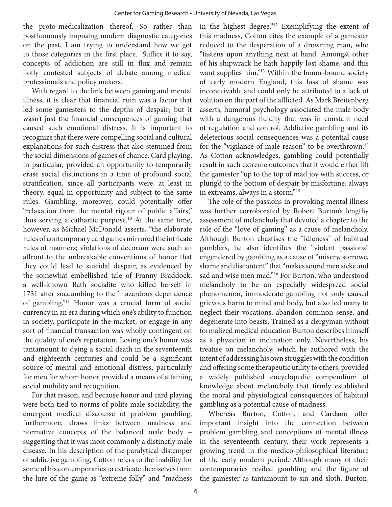the proto-medicalization thereof. So rather than posthumously imposing modern diagnostic categories on the past, I am trying to understand how we got to those categories in the first place. Suffice it to say, concepts of addiction are still in flux and remain hotly contested subjects of debate among medical professionals and policy makers.

With regard to the link between gaming and mental illness, it is clear that financial ruin was a factor that led some gamesters to the depths of despair; but it wasn't just the financial consequences of gaming that caused such emotional distress. It is important to recognize that there were compelling social and cultural explanations for such distress that also stemmed from the social dimensions of games of chance. Card playing, in particular, provided an opportunity to temporarily erase social distinctions in a time of profound social stratification, since all participants were, at least in theory, equal in opportunity and subject to the same rules. Gambling, moreover, could potentially offer "relaxation from the mental rigour of public affairs," thus serving a cathartic purpose.<sup>10</sup> At the same time, however, as Michael McDonald asserts, "the elaborate rules of contemporary card games mirrored the intricate rules of manners; violations of decorum were such an affront to the unbreakable conventions of honor that they could lead to suicidal despair, as evidenced by the somewhat embellished tale of Franny Braddock, a well-known Bath socialite who killed herself in 1731 after succumbing to the "hazardous dependence of gambling."<sup>11</sup> Honor was a crucial form of social currency in an era during which one's ability to function in society, participate in the market, or engage in any sort of financial transaction was wholly contingent on the quality of one's reputation. Losing one's honor was tantamount to dying a social death in the seventeenth and eighteenth centuries and could be a significant source of mental and emotional distress, particularly for men for whom honor provided a means of attaining social mobility and recognition.

For that reason, and because honor and card playing were both tied to norms of polite male sociability, the emergent medical discourse of problem gambling, furthermore, draws links between madness and normative concepts of the balanced male body – suggesting that it was most commonly a distinctly male disease. In his description of the paralytical distemper of addictive gambling, Cotton refers to the inability for some of his contemporaries to extricate themselves from the lure of the game as "extreme folly" and "madness

in the highest degree."<sup>12</sup> Exemplifying the extent of this madness, Cotton cites the example of a gamester reduced to the desperation of a drowning man, who "fastens upon anything next at hand. Amongst other of his shipwrack he hath happily lost shame, and this want supplies him."<sup>13</sup> Within the honor-bound society of early modern England, this loss of shame was inconceivable and could only be attributed to a lack of volition on the part of the afflicted. As Mark Breitenberg asserts, humoral psychology associated the male body with a dangerous fluidity that was in constant need of regulation and control. Addictive gambling and its deleterious social consequences was a potential cause for the "vigilance of male reason" to be overthrown.<sup>14</sup> As Cotton acknowledges, gambling could potentially result in such extreme outcomes that it would either lift the gamester "up to the top of mad joy with success, or plung'd to the bottom of despair by misfortune, always in extreams, always in a storm."<sup>15</sup>

The role of the passions in provoking mental illness was further corroborated by Robert Burton's lengthy assessment of melancholy that devoted a chapter to the role of the "love of gaming" as a cause of melancholy. Although Burton chastises the "idleness" of habitual gamblers, he also identifies the "violent passions" engendered by gambling as a cause of "misery, sorrowe, shame and discontent" that "makes sound men sicke and sad and wise men mad."<sup>16</sup> For Burton, who understood melancholy to be an especially widespread social phenomenon, immoderate gambling not only caused grievous harm to mind and body, but also led many to neglect their vocations, abandon common sense, and degenerate into beasts. Trained as a clergyman without formalized medical education Burton describes himself as a physician in inclination only. Nevertheless, his treatise on melancholy, which he authored with the intent of addressing his own struggles with the condition and offering some therapeutic utility to others, provided a widely published encyclopedic compendium of knowledge about melancholy that firmly established the moral and physiological consequences of habitual gambling as a potential cause of madness.

Whereas Burton, Cotton, and Cardano offer important insight into the connection between problem gambling and conceptions of mental illness in the seventeenth century, their work represents a growing trend in the medico-philosophical literature of the early modern period. Although many of their contemporaries reviled gambling and the figure of the gamester as tantamount to sin and sloth, Burton,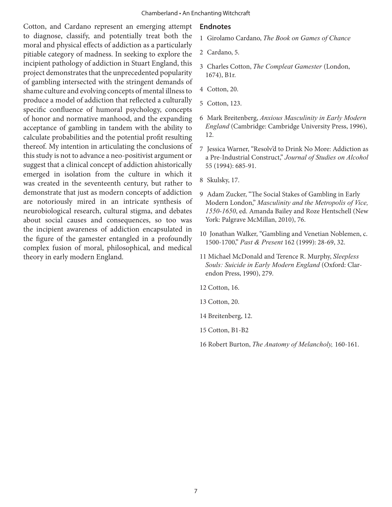Cotton, and Cardano represent an emerging attempt to diagnose, classify, and potentially treat both the moral and physical effects of addiction as a particularly pitiable category of madness. In seeking to explore the incipient pathology of addiction in Stuart England, this project demonstrates that the unprecedented popularity of gambling intersected with the stringent demands of shame culture and evolving concepts of mental illness to produce a model of addiction that reflected a culturally specific confluence of humoral psychology, concepts of honor and normative manhood, and the expanding acceptance of gambling in tandem with the ability to calculate probabilities and the potential profit resulting thereof. My intention in articulating the conclusions of this study is not to advance a neo-positivist argument or suggest that a clinical concept of addiction ahistorically emerged in isolation from the culture in which it was created in the seventeenth century, but rather to demonstrate that just as modern concepts of addiction are notoriously mired in an intricate synthesis of neurobiological research, cultural stigma, and debates about social causes and consequences, so too was the incipient awareness of addiction encapsulated in the figure of the gamester entangled in a profoundly complex fusion of moral, philosophical, and medical theory in early modern England.

#### **Endnotes**

- 1 Girolamo Cardano, *The Book on Games of Chance*
- 2 Cardano, 5.
- 3 Charles Cotton, *The Compleat Gamester* (London, 1674), B1r.
- 4 Cotton, 20.
- 5 Cotton, 123.
- 6 Mark Breitenberg, *Anxious Masculinity in Early Modern England* (Cambridge: Cambridge University Press, 1996), 12.
- 7 Jessica Warner, "Resolv'd to Drink No More: Addiction as a Pre-Industrial Construct," *Journal of Studies on Alcohol* 55 (1994): 685-91.
- 8 Skulsky, 17.
- 9 Adam Zucker, "The Social Stakes of Gambling in Early Modern London," *Masculinity and the Metropolis of Vice, 1550-1650*, ed. Amanda Bailey and Roze Hentschell (New York: Palgrave McMillan, 2010), 76.
- 10 Jonathan Walker, "Gambling and Venetian Noblemen, c. 1500-1700," *Past & Present* 162 (1999): 28-69, 32.
- 11 Michael McDonald and Terence R. Murphy, *Sleepless Souls: Suicide in Early Modern England* (Oxford: Clarendon Press, 1990), 279.
- 12 Cotton, 16.
- 13 Cotton, 20.
- 14 Breitenberg, 12.
- 15 Cotton, B1-B2
- 16 Robert Burton, *The Anatomy of Melancholy,* 160-161.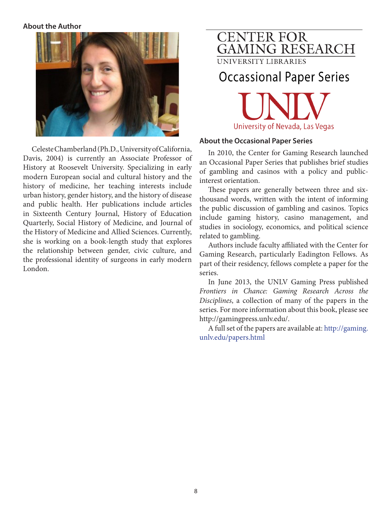#### **About the Author**



Celeste Chamberland (Ph.D., University of California, Davis, 2004) is currently an Associate Professor of History at Roosevelt University. Specializing in early modern European social and cultural history and the history of medicine, her teaching interests include urban history, gender history, and the history of disease and public health. Her publications include articles in Sixteenth Century Journal, History of Education Quarterly, Social History of Medicine, and Journal of the History of Medicine and Allied Sciences. Currently, she is working on a book-length study that explores the relationship between gender, civic culture, and the professional identity of surgeons in early modern London.

# **CENTER FOR GAMING RESEARCH**

UNIVERSITY LIBRARIES

# **Occassional Paper Series**



#### **About the Occasional Paper Series**

In 2010, the Center for Gaming Research launched an Occasional Paper Series that publishes brief studies of gambling and casinos with a policy and publicinterest orientation.

These papers are generally between three and sixthousand words, written with the intent of informing the public discussion of gambling and casinos. Topics include gaming history, casino management, and studies in sociology, economics, and political science related to gambling.

Authors include faculty affiliated with the Center for Gaming Research, particularly Eadington Fellows. As part of their residency, fellows complete a paper for the series.

In June 2013, the UNLV Gaming Press published *Frontiers in Chance: Gaming Research Across the Disciplines*, a collection of many of the papers in the series. For more information about this book, please see http://gamingpress.unlv.edu/.

A full set of the papers are available at: http://gaming. unlv.edu/papers.html